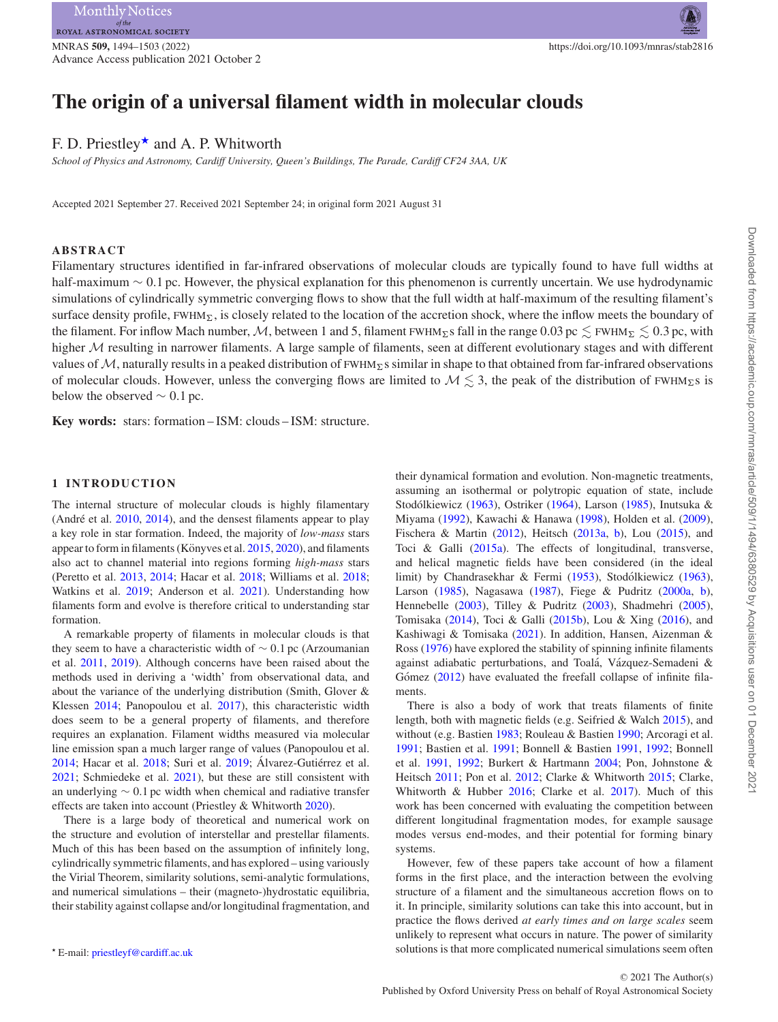Advance Access publication 2021 October 2

# **The origin of a universal filament width in molecular clouds**

## F. D. Priestley<sup>\*</sup> and A. P. Whitworth

*School of Physics and Astronomy, Cardiff University, Queen's Buildings, The Parade, Cardiff CF24 3AA, UK*

Accepted 2021 September 27. Received 2021 September 24; in original form 2021 August 31

#### **ABSTRACT**

Filamentary structures identified in far-infrared observations of molecular clouds are typically found to have full widths at half-maximum ∼ 0*.*1 pc. However, the physical explanation for this phenomenon is currently uncertain. We use hydrodynamic simulations of cylindrically symmetric converging flows to show that the full width at half-maximum of the resulting filament's surface density profile, FWHM<sub>2</sub>, is closely related to the location of the accretion shock, where the inflow meets the boundary of the filament. For inflow Mach number, M, between 1 and 5, filament FWHM<sub>Σ</sub>s fall in the range 0.03 pc  $\lesssim$  FWHM<sub>Σ</sub>  $\lesssim$  0.3 pc, with higher  $M$  resulting in narrower filaments. A large sample of filaments, seen at different evolutionary stages and with different values of  $M$ , naturally results in a peaked distribution of  $FWHM_\Sigma s$  similar in shape to that obtained from far-infrared observations of molecular clouds. However, unless the converging flows are limited to  $M \lesssim 3$ , the peak of the distribution of FWHM<sub>2</sub>s is below the observed  $\sim 0.1$  pc.

**Key words:** stars: formation – ISM: clouds – ISM: structure.

## **1 INTRODUCTION**

The internal structure of molecular clouds is highly filamentary (André et al.  $2010$ ,  $2014$ ), and the densest filaments appear to play a key role in star formation. Indeed, the majority of *low-mass* stars appear to form in filaments (Könyves et al.  $2015, 2020$  $2015, 2020$ ), and filaments also act to channel material into regions forming *high-mass* stars (Peretto et al. [2013,](#page-7-4) [2014;](#page-7-5) Hacar et al. [2018;](#page-7-6) Williams et al. [2018;](#page-7-7) Watkins et al. [2019;](#page-7-8) Anderson et al. [2021\)](#page-7-9). Understanding how filaments form and evolve is therefore critical to understanding star formation.

A remarkable property of filaments in molecular clouds is that they seem to have a characteristic width of ∼ 0*.*1 pc (Arzoumanian et al. [2011,](#page-7-10) [2019\)](#page-7-11). Although concerns have been raised about the methods used in deriving a 'width' from observational data, and about the variance of the underlying distribution (Smith, Glover & Klessen [2014;](#page-7-12) Panopoulou et al. [2017\)](#page-7-13), this characteristic width does seem to be a general property of filaments, and therefore requires an explanation. Filament widths measured via molecular line emission span a much larger range of values (Panopoulou et al.  $2014$ ; Hacar et al.  $2018$ ; Suri et al.  $2019$ ; Álvarez-Gutiérrez et al. [2021;](#page-7-16) Schmiedeke et al. [2021\)](#page-7-17), but these are still consistent with an underlying ∼ 0*.*1 pc width when chemical and radiative transfer effects are taken into account (Priestley & Whitworth [2020\)](#page-7-18).

There is a large body of theoretical and numerical work on the structure and evolution of interstellar and prestellar filaments. Much of this has been based on the assumption of infinitely long, cylindrically symmetric filaments, and has explored – using variously the Virial Theorem, similarity solutions, semi-analytic formulations, and numerical simulations – their (magneto-)hydrostatic equilibria, their stability against collapse and/or longitudinal fragmentation, and their dynamical formation and evolution. Non-magnetic treatments, assuming an isothermal or polytropic equation of state, include Stodólkiewicz ([1963\)](#page-7-19), Ostriker [\(1964\)](#page-7-20), Larson [\(1985\)](#page-7-21), Inutsuka & Miyama [\(1992\)](#page-7-22), Kawachi & Hanawa [\(1998\)](#page-7-23), Holden et al. [\(2009\)](#page-7-24), Fischera & Martin [\(2012\)](#page-7-25), Heitsch [\(2013a,](#page-7-26) [b\)](#page-7-27), Lou [\(2015\)](#page-7-28), and Toci & Galli [\(2015a\)](#page-7-29). The effects of longitudinal, transverse, and helical magnetic fields have been considered (in the ideal limit) by Chandrasekhar & Fermi [\(1953\)](#page-7-30), Stodólkiewicz ([1963\)](#page-7-19), Larson [\(1985\)](#page-7-21), Nagasawa [\(1987\)](#page-7-31), Fiege & Pudritz [\(2000a,](#page-7-32) [b\)](#page-7-33), Hennebelle [\(2003\)](#page-7-34), Tilley & Pudritz [\(2003\)](#page-7-35), Shadmehri [\(2005\)](#page-7-36), Tomisaka [\(2014\)](#page-7-37), Toci & Galli [\(2015b\)](#page-7-38), Lou & Xing [\(2016\)](#page-7-39), and Kashiwagi & Tomisaka [\(2021\)](#page-7-40). In addition, Hansen, Aizenman & Ross [\(1976\)](#page-7-41) have explored the stability of spinning infinite filaments against adiabatic perturbations, and Toalá, Vázquez-Semadeni & Gómez  $(2012)$  $(2012)$  have evaluated the freefall collapse of infinite filaments.

There is also a body of work that treats filaments of finite length, both with magnetic fields (e.g. Seifried & Walch [2015\)](#page-7-43), and without (e.g. Bastien [1983;](#page-7-44) Rouleau & Bastien [1990;](#page-7-45) Arcoragi et al. [1991;](#page-7-46) Bastien et al. [1991;](#page-7-47) Bonnell & Bastien [1991,](#page-7-48) [1992;](#page-7-49) Bonnell et al. [1991,](#page-7-50) [1992;](#page-7-51) Burkert & Hartmann [2004;](#page-7-52) Pon, Johnstone & Heitsch [2011;](#page-7-53) Pon et al. [2012;](#page-7-54) Clarke & Whitworth [2015;](#page-7-55) Clarke, Whitworth & Hubber [2016;](#page-7-56) Clarke et al. [2017\)](#page-7-57). Much of this work has been concerned with evaluating the competition between different longitudinal fragmentation modes, for example sausage modes versus end-modes, and their potential for forming binary systems.

However, few of these papers take account of how a filament forms in the first place, and the interaction between the evolving structure of a filament and the simultaneous accretion flows on to it. In principle, similarity solutions can take this into account, but in practice the flows derived *at early times and on large scales* seem unlikely to represent what occurs in nature. The power of similarity solutions is that more complicated numerical simulations seem often

<span id="page-0-0"></span>E-mail: [priestleyf@cardiff.ac.uk](mailto:priestleyf@cardiff.ac.uk)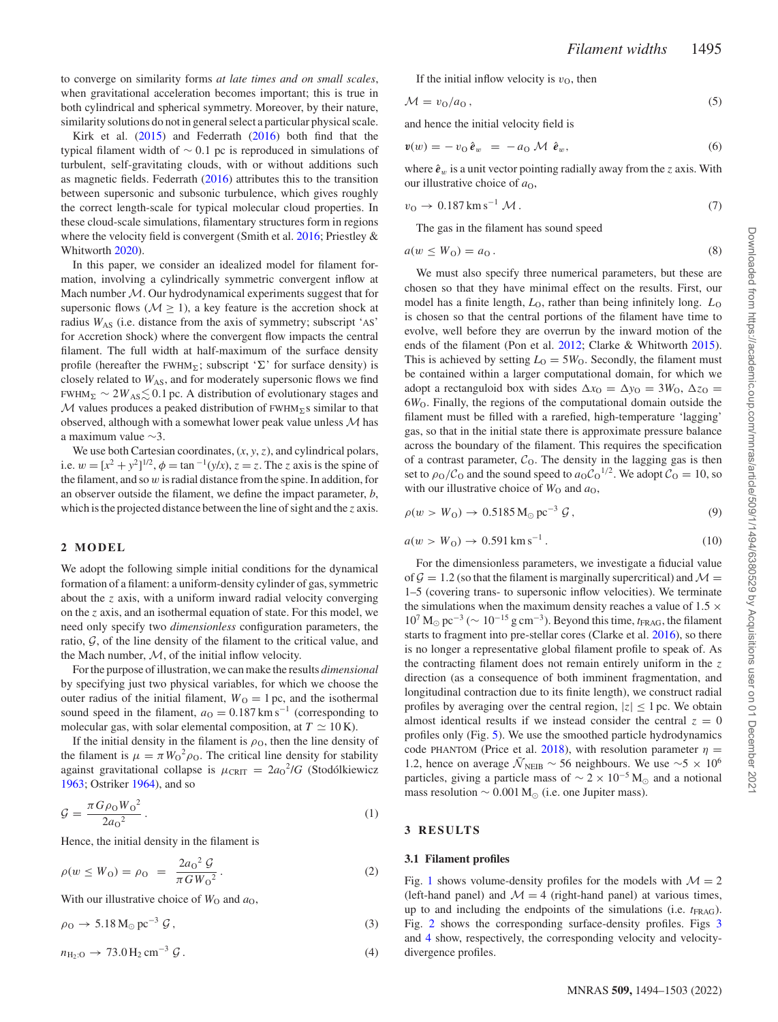to converge on similarity forms *at late times and on small scales*, when gravitational acceleration becomes important; this is true in both cylindrical and spherical symmetry. Moreover, by their nature, similarity solutions do not in general select a particular physical scale.

Kirk et al. [\(2015\)](#page-7-58) and Federrath [\(2016\)](#page-7-59) both find that the typical filament width of ∼ 0*.*1 pc is reproduced in simulations of turbulent, self-gravitating clouds, with or without additions such as magnetic fields. Federrath [\(2016\)](#page-7-59) attributes this to the transition between supersonic and subsonic turbulence, which gives roughly the correct length-scale for typical molecular cloud properties. In these cloud-scale simulations, filamentary structures form in regions where the velocity field is convergent (Smith et al. [2016;](#page-7-60) Priestley & Whitworth [2020\)](#page-7-18).

In this paper, we consider an idealized model for filament formation, involving a cylindrically symmetric convergent inflow at Mach number M. Our hydrodynamical experiments suggest that for supersonic flows ( $M \ge 1$ ), a key feature is the accretion shock at radius *W*<sub>AS</sub> (i.e. distance from the axis of symmetry; subscript 'AS' for Accretion Shock) where the convergent flow impacts the central filament. The full width at half-maximum of the surface density profile (hereafter the FWHM<sub>Σ</sub>; subscript 'Σ' for surface density) is closely related to  $W_{AS}$ , and for moderately supersonic flows we find FWHM<sub>∑</sub>  $\sim$  2 $W_{\rm AS}$   $\lesssim$  0.1 pc. A distribution of evolutionary stages and M values produces a peaked distribution of FWHM*-*s similar to that observed, although with a somewhat lower peak value unless  $M$  has a maximum value ∼3.

We use both Cartesian coordinates, (*x*, *y*, *z*), and cylindrical polars, i.e.  $w = [x^2 + y^2]^{1/2}$ ,  $\phi = \tan^{-1}(y/x)$ ,  $z = z$ . The *z* axis is the spine of the filament, and so *w* is radial distance from the spine. In addition, for an observer outside the filament, we define the impact parameter, *b*, which is the projected distance between the line of sight and the *z* axis.

#### **2 MODEL**

We adopt the following simple initial conditions for the dynamical formation of a filament: a uniform-density cylinder of gas, symmetric about the *z* axis, with a uniform inward radial velocity converging on the *z* axis, and an isothermal equation of state. For this model, we need only specify two *dimensionless* configuration parameters, the ratio,  $G$ , of the line density of the filament to the critical value, and the Mach number,  $M$ , of the initial inflow velocity.

For the purpose of illustration, we can make the results *dimensional* by specifying just two physical variables, for which we choose the outer radius of the initial filament,  $W<sub>O</sub> = 1$  pc, and the isothermal sound speed in the filament,  $a<sub>O</sub> = 0.187$  km s<sup>-1</sup> (corresponding to molecular gas, with solar elemental composition, at  $T \simeq 10$  K).

If the initial density in the filament is  $\rho_0$ , then the line density of the filament is  $\mu = \pi W_0^2 \rho_0$ . The critical line density for stability against gravitational collapse is  $\mu_{\text{CRIT}} = 2a_0^2/G$  (Stodólkiewicz [1963;](#page-7-19) Ostriker [1964\)](#page-7-20), and so

$$
\mathcal{G} = \frac{\pi G \rho_0 W_0^2}{2a_0^2} \,. \tag{1}
$$

Hence, the initial density in the filament is

$$
\rho(w \le W_0) = \rho_0 = \frac{2a_0^2 \mathcal{G}}{\pi G W_0^2}.
$$
\n(2)

With our illustrative choice of  $W_0$  and  $a_0$ ,

$$
\rho_0 \to 5.18 \,\mathrm{M}_{\odot} \,\mathrm{pc}^{-3} \,\mathcal{G} \,, \tag{3}
$$

$$
n_{\text{H}_2:O} \to 73.0 \,\text{H}_2 \,\text{cm}^{-3} \,\text{G} \,. \tag{4}
$$

If the initial inflow velocity is  $v<sub>O</sub>$ , then

$$
\mathcal{M} = v_0/a_0, \tag{5}
$$

and hence the initial velocity field is

$$
\mathbf{v}(w) = -v_{\mathcal{O}}\,\hat{\boldsymbol{e}}_w = -a_{\mathcal{O}}\,\mathcal{M}\,\hat{\boldsymbol{e}}_w,\tag{6}
$$

where  $\hat{\mathbf{e}}_w$  is a unit vector pointing radially away from the *z* axis. With our illustrative choice of  $a<sub>0</sub>$ ,

$$
v_{\rm O} \rightarrow 0.187 \,\rm km\,s^{-1}\,\mathcal{M}\,. \tag{7}
$$

The gas in the filament has sound speed

$$
a(w \le W_0) = a_0. \tag{8}
$$

We must also specify three numerical parameters, but these are chosen so that they have minimal effect on the results. First, our model has a finite length,  $L<sub>0</sub>$ , rather than being infinitely long.  $L<sub>0</sub>$ is chosen so that the central portions of the filament have time to evolve, well before they are overrun by the inward motion of the ends of the filament (Pon et al. [2012;](#page-7-54) Clarke & Whitworth [2015\)](#page-7-55). This is achieved by setting  $L_0 = 5W_0$ . Secondly, the filament must be contained within a larger computational domain, for which we adopt a rectanguloid box with sides  $\Delta x_0 = \Delta y_0 = 3W_0$ ,  $\Delta z_0 =$ 6*W*O. Finally, the regions of the computational domain outside the filament must be filled with a rarefied, high-temperature 'lagging' gas, so that in the initial state there is approximate pressure balance across the boundary of the filament. This requires the specification of a contrast parameter,  $C<sub>0</sub>$ . The density in the lagging gas is then set to  $\rho_0/C_0$  and the sound speed to  $a_0C_0^{1/2}$ . We adopt  $C_0 = 10$ , so with our illustrative choice of  $W_0$  and  $a_0$ ,

$$
\rho(w > W_0) \to 0.5185 \,\mathrm{M}_{\odot} \,\mathrm{pc}^{-3} \,\mathcal{G} \,, \tag{9}
$$

$$
a(w > W_0) \to 0.591 \,\text{km s}^{-1} \,. \tag{10}
$$

For the dimensionless parameters, we investigate a fiducial value of  $\mathcal{G} = 1.2$  (so that the filament is marginally supercritical) and  $\mathcal{M} =$ 1–5 (covering trans- to supersonic inflow velocities). We terminate the simulations when the maximum density reaches a value of  $1.5 \times$  $10^7$  M<sub>o</sub> pc<sup>-3</sup> ( $\sim 10^{-15}$  g cm<sup>-3</sup>). Beyond this time,  $t_{\text{FRAG}}$ , the filament starts to fragment into pre-stellar cores (Clarke et al. [2016\)](#page-7-56), so there is no longer a representative global filament profile to speak of. As the contracting filament does not remain entirely uniform in the *z* direction (as a consequence of both imminent fragmentation, and longitudinal contraction due to its finite length), we construct radial profiles by averaging over the central region,  $|z| \leq 1$  pc. We obtain almost identical results if we instead consider the central  $z = 0$ profiles only (Fig. [5\)](#page-4-0). We use the smoothed particle hydrodynamics code PHANTOM (Price et al. [2018\)](#page-7-61), with resolution parameter  $\eta$  = 1.2, hence on average  $\bar{N}_{\text{NEIB}} \sim 56$  neighbours. We use ~5 × 10<sup>6</sup> particles, giving a particle mass of  $\sim 2 \times 10^{-5}$  M<sub>☉</sub> and a notional mass resolution  $∼ 0.001 M<sub>⊙</sub>$  (i.e. one Jupiter mass).

#### **3 RESULTS**

## **3.1 Filament profiles**

Fig. [1](#page-2-0) shows volume-density profiles for the models with  $M = 2$ (left-hand panel) and  $\mathcal{M} = 4$  (right-hand panel) at various times, up to and including the endpoints of the simulations (i.e. *t*<sub>FRAG</sub>). Fig. [2](#page-2-1) shows the corresponding surface-density profiles. Figs [3](#page-2-2) and [4](#page-3-0) show, respectively, the corresponding velocity and velocitydivergence profiles.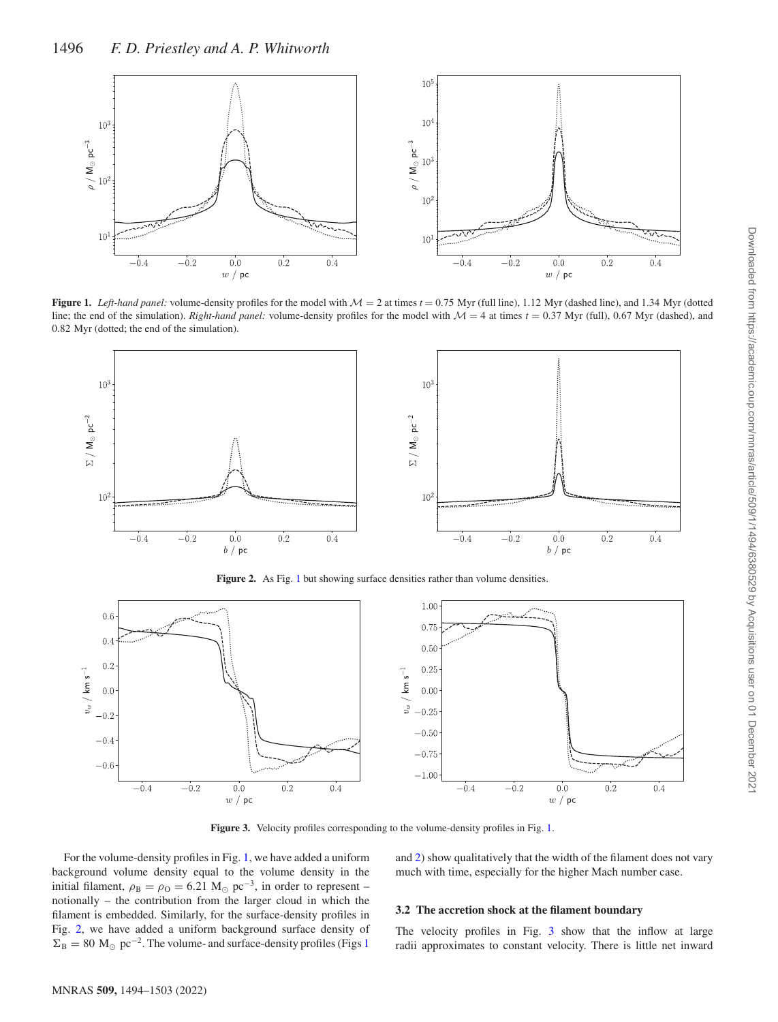<span id="page-2-0"></span>

**Figure 1.** *Left-hand panel:* volume-density profiles for the model with  $M = 2$  at times  $t = 0.75$  Myr (full line), 1.12 Myr (dashed line), and 1.34 Myr (dotted line; the end of the simulation). *Right-hand panel:* volume-density profiles for the model with  $M = 4$  at times  $t = 0.37$  Myr (full), 0.67 Myr (dashed), and 0*.*82 Myr (dotted; the end of the simulation).

<span id="page-2-1"></span>

Figure 2. As Fig. [1](#page-2-0) but showing surface densities rather than volume densities.

<span id="page-2-2"></span>

**Figure 3.** Velocity profiles corresponding to the volume-density profiles in Fig. [1.](#page-2-0)

For the volume-density profiles in Fig. [1,](#page-2-0) we have added a uniform background volume density equal to the volume density in the initial filament,  $\rho_B = \rho_O = 6.21 M_{\odot} pc^{-3}$ , in order to represent – notionally – the contribution from the larger cloud in which the filament is embedded. Similarly, for the surface-density profiles in Fig. [2,](#page-2-1) we have added a uniform background surface density of  $\Sigma_B = 80 \text{ M}_{\odot} \text{ pc}^{-2}$ . The volume- and surface-density profiles (Figs [1](#page-2-0))

and [2\)](#page-2-1) show qualitatively that the width of the filament does not vary much with time, especially for the higher Mach number case.

## **3.2 The accretion shock at the filament boundary**

The velocity profiles in Fig. [3](#page-2-2) show that the inflow at large radii approximates to constant velocity. There is little net inward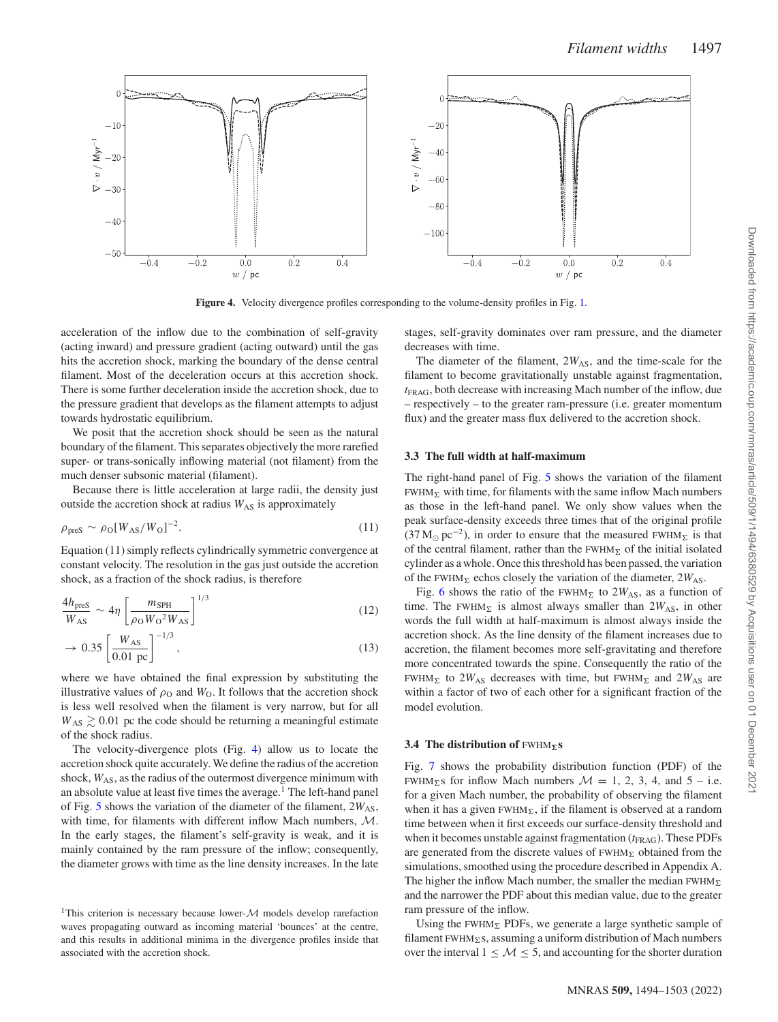<span id="page-3-0"></span>

**Figure 4.** Velocity divergence profiles corresponding to the volume-density profiles in Fig. [1.](#page-2-0)

acceleration of the inflow due to the combination of self-gravity (acting inward) and pressure gradient (acting outward) until the gas hits the accretion shock, marking the boundary of the dense central filament. Most of the deceleration occurs at this accretion shock. There is some further deceleration inside the accretion shock, due to the pressure gradient that develops as the filament attempts to adjust towards hydrostatic equilibrium.

We posit that the accretion shock should be seen as the natural boundary of the filament. This separates objectively the more rarefied super- or trans-sonically inflowing material (not filament) from the much denser subsonic material (filament).

Because there is little acceleration at large radii, the density just outside the accretion shock at radius  $W_{AS}$  is approximately

$$
\rho_{\rm pres} \sim \rho_0 [W_{\rm AS}/W_0]^{-2}.
$$
\n(11)

Equation (11) simply reflects cylindrically symmetric convergence at constant velocity. The resolution in the gas just outside the accretion shock, as a fraction of the shock radius, is therefore

$$
\frac{4h_{\text{pres}}}{W_{\text{AS}}} \sim 4\eta \left[ \frac{m_{\text{SPH}}}{\rho_{\text{O}} W_{\text{O}}^2 W_{\text{AS}}} \right]^{1/3} \tag{12}
$$

$$
\to 0.35 \left[ \frac{W_{AS}}{0.01 \text{ pc}} \right]^{-1/3}, \tag{13}
$$

where we have obtained the final expression by substituting the illustrative values of  $\rho_0$  and  $W_0$ . It follows that the accretion shock is less well resolved when the filament is very narrow, but for all  $W_{AS} \geq 0.01$  pc the code should be returning a meaningful estimate of the shock radius.

The velocity-divergence plots (Fig. [4\)](#page-3-0) allow us to locate the accretion shock quite accurately. We define the radius of the accretion shock,  $W_{AS}$ , as the radius of the outermost divergence minimum with an absolute value at least five times the average.<sup>1</sup> The left-hand panel of Fig.  $5$  shows the variation of the diameter of the filament,  $2W_{AS}$ , with time, for filaments with different inflow Mach numbers, M. In the early stages, the filament's self-gravity is weak, and it is mainly contained by the ram pressure of the inflow; consequently, the diameter grows with time as the line density increases. In the late stages, self-gravity dominates over ram pressure, and the diameter decreases with time.

The diameter of the filament,  $2W_{AS}$ , and the time-scale for the filament to become gravitationally unstable against fragmentation, *t*FRAG, both decrease with increasing Mach number of the inflow, due – respectively – to the greater ram-pressure (i.e. greater momentum flux) and the greater mass flux delivered to the accretion shock.

## **3.3 The full width at half-maximum**

The right-hand panel of Fig. [5](#page-4-0) shows the variation of the filament  $FWHM_{\Sigma}$  with time, for filaments with the same inflow Mach numbers as those in the left-hand panel. We only show values when the peak surface-density exceeds three times that of the original profile  $(37 M_{\odot} pc^{-2})$ , in order to ensure that the measured FWHM<sub>Σ</sub> is that of the central filament, rather than the  $FWHM_{\Sigma}$  of the initial isolated cylinder as a whole. Once this threshold has been passed, the variation of the FWHM<sub> $\Sigma$ </sub> echos closely the variation of the diameter,  $2W_{AS}$ .

Fig. [6](#page-4-1) shows the ratio of the FWHM<sub> $\Sigma$ </sub> to  $2W_{AS}$ , as a function of time. The FWHM<sub> $\Sigma$ </sub> is almost always smaller than  $2W_{AS}$ , in other words the full width at half-maximum is almost always inside the accretion shock. As the line density of the filament increases due to accretion, the filament becomes more self-gravitating and therefore more concentrated towards the spine. Consequently the ratio of the FWHM<sub> $\Sigma$ </sub> to 2*W*<sub>AS</sub> decreases with time, but FWHM<sub> $\Sigma$ </sub> and 2*W*<sub>AS</sub> are within a factor of two of each other for a significant fraction of the model evolution.

## **3.4 The distribution of** FWHM*-***s**

Fig. [7](#page-4-2) shows the probability distribution function (PDF) of the FWHM<sub> $\Sigma$ </sub>s for inflow Mach numbers  $\mathcal{M} = 1, 2, 3, 4$ , and  $5 - i.e$ . for a given Mach number, the probability of observing the filament when it has a given  $FWHM_{\Sigma}$ , if the filament is observed at a random time between when it first exceeds our surface-density threshold and when it becomes unstable against fragmentation ( $t_{\text{FRAG}}$ ). These PDFs are generated from the discrete values of FWHM<sub>2</sub> obtained from the simulations, smoothed using the procedure described in Appendix A. The higher the inflow Mach number, the smaller the median FWHMand the narrower the PDF about this median value, due to the greater ram pressure of the inflow.

Using the FWHM<sub> $\Sigma$ </sub> PDFs, we generate a large synthetic sample of filament FWHM<sub>2</sub>s, assuming a uniform distribution of Mach numbers over the interval  $1 \leq M \leq 5$ , and accounting for the shorter duration

<sup>&</sup>lt;sup>1</sup>This criterion is necessary because lower- $M$  models develop rarefaction waves propagating outward as incoming material 'bounces' at the centre, and this results in additional minima in the divergence profiles inside that associated with the accretion shock.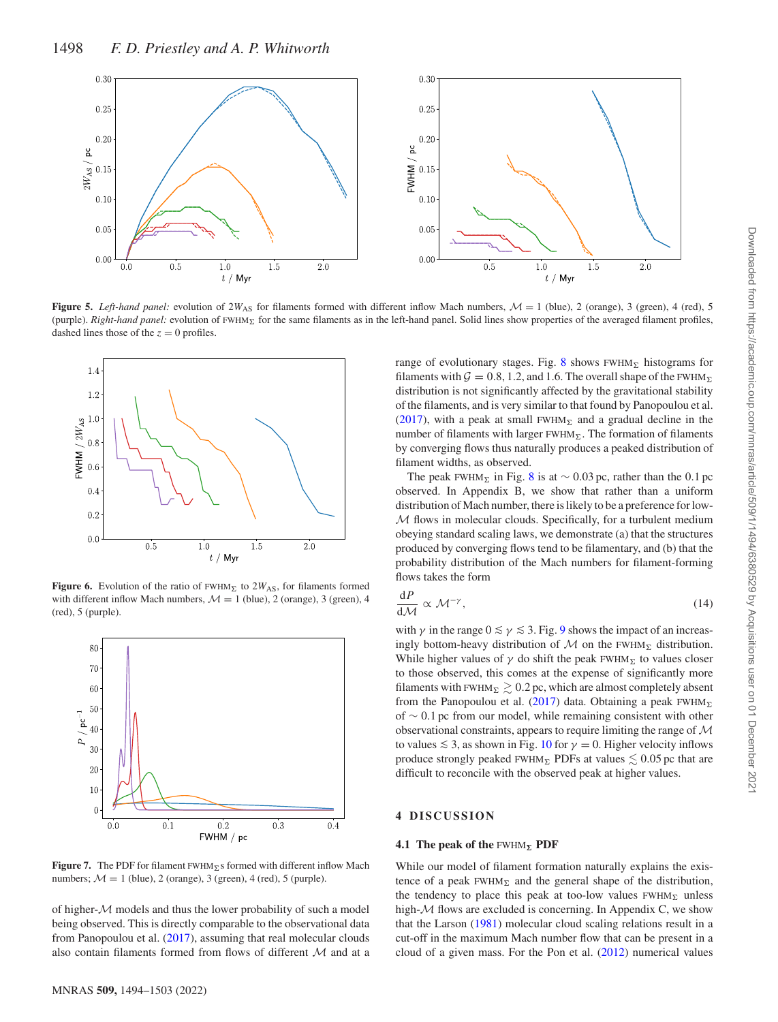<span id="page-4-0"></span>

**Figure 5.** *Left-hand panel:* evolution of  $2W_{AS}$  for filaments formed with different inflow Mach numbers,  $\mathcal{M} = 1$  (blue), 2 (orange), 3 (green), 4 (red), 5 (purple). *Right-hand panel:* evolution of FWHM*-* for the same filaments as in the left-hand panel. Solid lines show properties of the averaged filament profiles, dashed lines those of the  $z = 0$  profiles.

<span id="page-4-1"></span>

**Figure 6.** Evolution of the ratio of  $FWHM_{\Sigma}$  to  $2W_{AS}$ , for filaments formed with different inflow Mach numbers,  $\mathcal{M} = 1$  (blue), 2 (orange), 3 (green), 4 (red), 5 (purple).

<span id="page-4-2"></span>

Figure 7. The PDF for filament FWHM<sub>E</sub>s formed with different inflow Mach numbers;  $\mathcal{M} = 1$  (blue), 2 (orange), 3 (green), 4 (red), 5 (purple).

of higher- $M$  models and thus the lower probability of such a model being observed. This is directly comparable to the observational data from Panopoulou et al. [\(2017\)](#page-7-13), assuming that real molecular clouds also contain filaments formed from flows of different M and at a

range of evolutionary stages. Fig. [8](#page-5-0) shows FWHM<sub>2</sub> histograms for filaments with  $G = 0.8$ , 1.2, and 1.6. The overall shape of the FWHM<sub> $\Sigma$ </sub> distribution is not significantly affected by the gravitational stability of the filaments, and is very similar to that found by Panopoulou et al. [\(2017\)](#page-7-13), with a peak at small FWHM<sub> $\Sigma$ </sub> and a gradual decline in the number of filaments with larger FWHM*-*. The formation of filaments by converging flows thus naturally produces a peaked distribution of filament widths, as observed.

The peak FWHM<sub>Σ</sub> in Fig. [8](#page-5-0) is at  $\sim 0.03$  pc, rather than the 0.1 pc observed. In Appendix B, we show that rather than a uniform distribution of Mach number, there is likely to be a preference for low-M flows in molecular clouds. Specifically, for a turbulent medium obeying standard scaling laws, we demonstrate (a) that the structures produced by converging flows tend to be filamentary, and (b) that the probability distribution of the Mach numbers for filament-forming flows takes the form

$$
\frac{\mathrm{d}P}{\mathrm{d}\mathcal{M}} \propto \mathcal{M}^{-\gamma},\tag{14}
$$

with  $\gamma$  in the range  $0 \le \gamma \le 3$ . Fig. [9](#page-5-1) shows the impact of an increasingly bottom-heavy distribution of  $M$  on the FWHM<sub> $\Sigma$ </sub> distribution. While higher values of  $\gamma$  do shift the peak FWHM<sub>Σ</sub> to values closer to those observed, this comes at the expense of significantly more filaments with FWHM<sub> $\Sigma \gtrsim 0.2$  pc, which are almost completely absent</sub> from the Panopoulou et al. [\(2017\)](#page-7-13) data. Obtaining a peak FWHMof ∼ 0*.*1 pc from our model, while remaining consistent with other observational constraints, appears to require limiting the range of  $\mathcal M$ to values  $\leq 3$ , as shown in Fig. [10](#page-5-2) for  $\gamma = 0$ . Higher velocity inflows produce strongly peaked  $FWHM_{\Sigma}$  PDFs at values  $\lesssim 0.05$  pc that are difficult to reconcile with the observed peak at higher values.

## **4 DISCUSSION**

#### **4.1 The peak of the** FWHM*-* **PDF**

While our model of filament formation naturally explains the existence of a peak  $FWHM_{\Sigma}$  and the general shape of the distribution, the tendency to place this peak at too-low values FWHM<sub>E</sub> unless high- $M$  flows are excluded is concerning. In Appendix C, we show that the Larson [\(1981\)](#page-7-62) molecular cloud scaling relations result in a cut-off in the maximum Mach number flow that can be present in a cloud of a given mass. For the Pon et al. [\(2012\)](#page-7-54) numerical values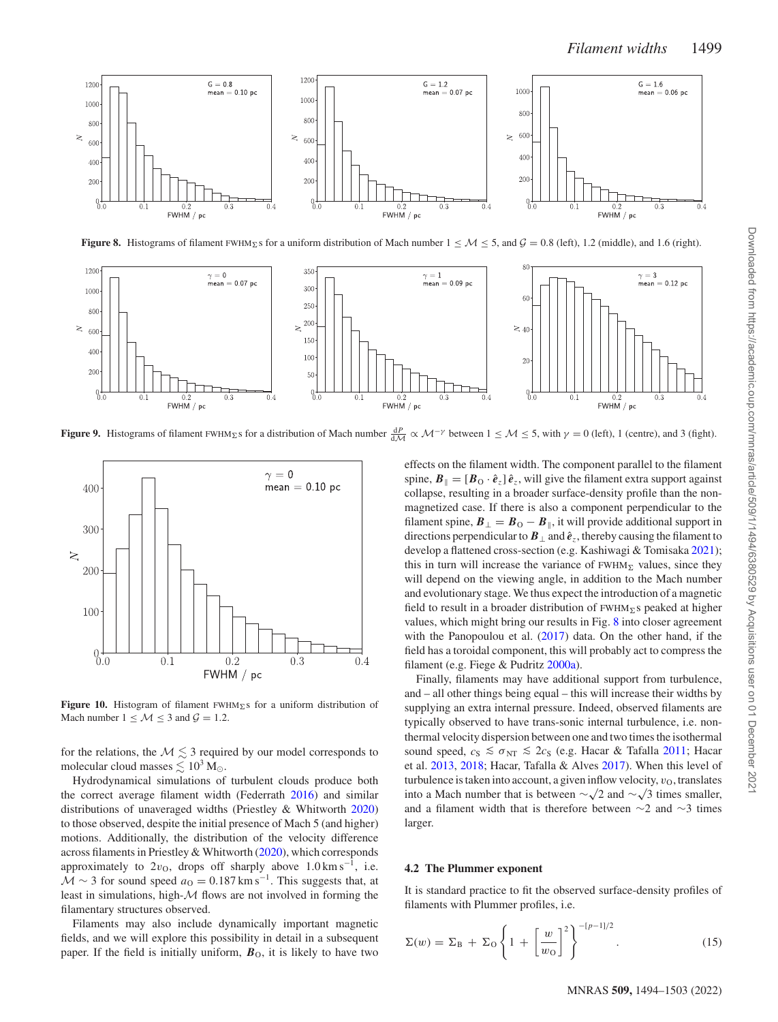<span id="page-5-0"></span>

**Figure 8.** Histograms of filament FWHM<sub>2</sub>'s for a uniform distribution of Mach number  $1 \leq M \leq 5$ , and  $\mathcal{G} = 0.8$  (left), 1.2 (middle), and 1.6 (right).

<span id="page-5-1"></span>

**Figure 9.** Histograms of filament FWHM<sub>Σ</sub>s for a distribution of Mach number  $\frac{dP}{dM} \propto M^{-\gamma}$  between  $1 \le M \le 5$ , with  $\gamma = 0$  (left), 1 (centre), and 3 (fight).

<span id="page-5-2"></span>

**Figure 10.** Histogram of filament FWHM*-*s for a uniform distribution of Mach number  $1 \leq M \leq 3$  and  $\mathcal{G} = 1.2$ .

for the relations, the  $M \lesssim 3$  required by our model corresponds to molecular cloud masses  $\lesssim 10^3\,{\rm M}_{\odot}.$ 

Hydrodynamical simulations of turbulent clouds produce both the correct average filament width (Federrath [2016\)](#page-7-59) and similar distributions of unaveraged widths (Priestley & Whitworth [2020\)](#page-7-18) to those observed, despite the initial presence of Mach 5 (and higher) motions. Additionally, the distribution of the velocity difference across filaments in Priestley & Whitworth [\(2020\)](#page-7-18), which corresponds approximately to  $2v<sub>0</sub>$ , drops off sharply above  $1.0 \text{ km s}^{-1}$ , i.e.  $\mathcal{M} \sim 3$  for sound speed  $a<sub>O</sub> = 0.187$  km s<sup>-1</sup>. This suggests that, at least in simulations, high- $M$  flows are not involved in forming the filamentary structures observed.

Filaments may also include dynamically important magnetic fields, and we will explore this possibility in detail in a subsequent paper. If the field is initially uniform,  $B<sub>O</sub>$ , it is likely to have two effects on the filament width. The component parallel to the filament spine,  $B_{\parallel} = [B_{\text{O}} \cdot \hat{e}_z] \hat{e}_z$ , will give the filament extra support against collapse, resulting in a broader surface-density profile than the nonmagnetized case. If there is also a component perpendicular to the filament spine,  $B_{\perp} = B_{\text{O}} - B_{\parallel}$ , it will provide additional support in directions perpendicular to  $B_{\perp}$  and  $\hat{e}_z$ , thereby causing the filament to develop a flattened cross-section (e.g. Kashiwagi & Tomisaka [2021\)](#page-7-40); this in turn will increase the variance of  $FWHM_{\Sigma}$  values, since they will depend on the viewing angle, in addition to the Mach number and evolutionary stage. We thus expect the introduction of a magnetic field to result in a broader distribution of FWHM*-*s peaked at higher values, which might bring our results in Fig. [8](#page-5-0) into closer agreement with the Panopoulou et al. [\(2017\)](#page-7-13) data. On the other hand, if the field has a toroidal component, this will probably act to compress the filament (e.g. Fiege & Pudritz [2000a\)](#page-7-32).

Finally, filaments may have additional support from turbulence, and – all other things being equal – this will increase their widths by supplying an extra internal pressure. Indeed, observed filaments are typically observed to have trans-sonic internal turbulence, i.e. nonthermal velocity dispersion between one and two times the isothermal sound speed,  $c_S \leq \sigma_{NT} \leq 2c_S$  (e.g. Hacar & Tafalla [2011;](#page-7-63) Hacar et al. [2013,](#page-7-64) [2018;](#page-7-6) Hacar, Tafalla & Alves [2017\)](#page-7-65). When this level of turbulence is taken into account, a given inflow velocity,  $v<sub>O</sub>$ , translates into a Mach number that is between  $\sim\sqrt{2}$  and  $\sim\sqrt{3}$  times smaller, and a filament width that is therefore between ∼2 and ∼3 times larger.

#### **4.2 The Plummer exponent**

It is standard practice to fit the observed surface-density profiles of filaments with Plummer profiles, i.e.

$$
\Sigma(w) = \Sigma_{\rm B} + \Sigma_{\rm O} \left\{ 1 + \left[ \frac{w}{w_{\rm O}} \right]^2 \right\}^{-\lbrack p-1 \rbrack/2} . \tag{15}
$$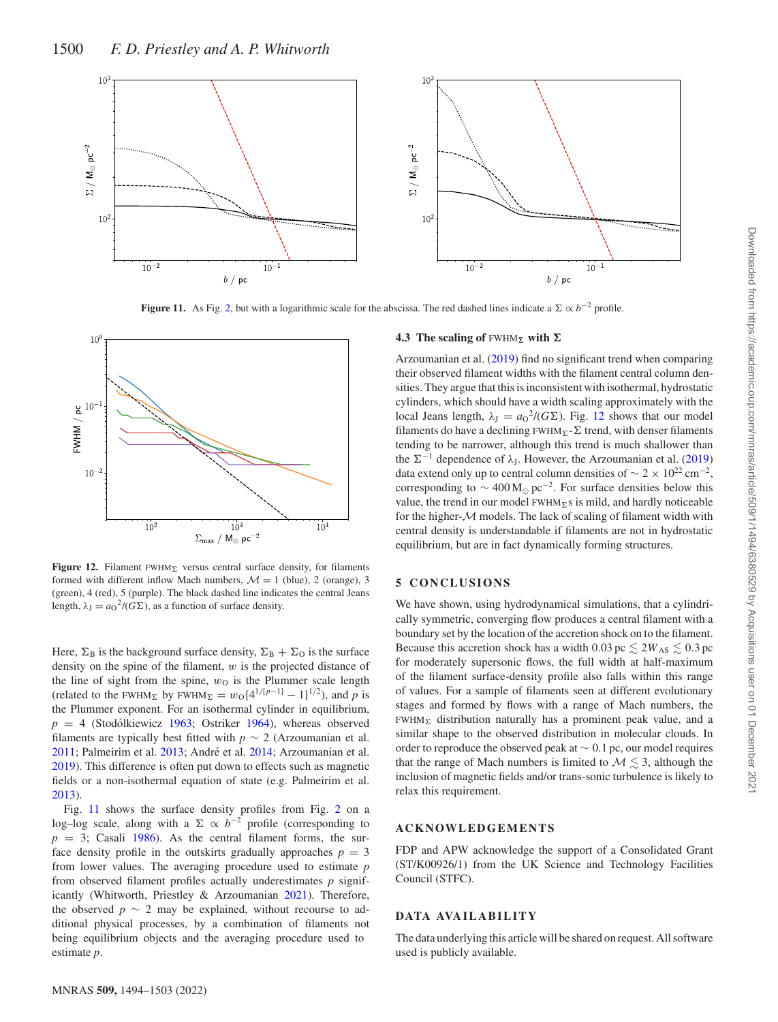<span id="page-6-0"></span>

**Figure 11.** As Fig. [2,](#page-2-1) but with a logarithmic scale for the abscissa. The red dashed lines indicate a  $\Sigma \propto b^{-2}$  profile.

<span id="page-6-1"></span>

**Figure 12.** Filament FWHM<sub> $\Sigma$ </sub> versus central surface density, for filaments formed with different inflow Mach numbers,  $\mathcal{M} = 1$  (blue), 2 (orange), 3 (green), 4 (red), 5 (purple). The black dashed line indicates the central Jeans length,  $\lambda_J = a_O^2 / (G \Sigma)$ , as a function of surface density.

Here,  $\Sigma_B$  is the background surface density,  $\Sigma_B + \Sigma_O$  is the surface density on the spine of the filament, *w* is the projected distance of the line of sight from the spine,  $w<sub>O</sub>$  is the Plummer scale length (related to the FWHM<sub>Σ</sub> by FWHM<sub>Σ</sub> =  $w_0\{4^{1/[p-1]} - 1\}^{1/2}$ ), and *p* is the Plummer exponent. For an isothermal cylinder in equilibrium,  $p = 4$  (Stodólkiewicz [1963;](#page-7-19) Ostriker [1964\)](#page-7-20), whereas observed filaments are typically best fitted with  $p \sim 2$  (Arzoumanian et al. [2011;](#page-7-10) Palmeirim et al. [2013;](#page-7-66) André et al. [2014;](#page-7-1) Arzoumanian et al. [2019\)](#page-7-11). This difference is often put down to effects such as magnetic fields or a non-isothermal equation of state (e.g. Palmeirim et al. [2013\)](#page-7-66).

Fig. [11](#page-6-0) shows the surface density profiles from Fig. [2](#page-2-1) on a log–log scale, along with a  $\Sigma \propto b^{-2}$  profile (corresponding to  $p = 3$ ; Casali [1986\)](#page-7-67). As the central filament forms, the surface density profile in the outskirts gradually approaches  $p = 3$ from lower values. The averaging procedure used to estimate *p* from observed filament profiles actually underestimates *p* significantly (Whitworth, Priestley & Arzoumanian [2021\)](#page-7-68). Therefore, the observed  $p \sim 2$  may be explained, without recourse to additional physical processes, by a combination of filaments not being equilibrium objects and the averaging procedure used to estimate *p*.

## **4.3** The scaling of  $FWHM_{\Sigma}$  with  $\Sigma$

Arzoumanian et al. [\(2019\)](#page-7-11) find no significant trend when comparing their observed filament widths with the filament central column densities. They argue that this is inconsistent with isothermal, hydrostatic cylinders, which should have a width scaling approximately with the local Jeans length,  $\lambda_J = a_0^2 / (G \Sigma)$ . Fig. [12](#page-6-1) shows that our model filaments do have a declining  $FWHM_{\Sigma}$ - $\Sigma$  trend, with denser filaments tending to be narrower, although this trend is much shallower than the  $\Sigma^{-1}$  dependence of  $\lambda$ <sub>J</sub>. However, the Arzoumanian et al. [\(2019\)](#page-7-11) data extend only up to central column densities of  $\sim 2 \times 10^{22}$  cm<sup>-2</sup>, corresponding to  $\sim$  400 M<sub>☉</sub> pc<sup>-2</sup>. For surface densities below this value, the trend in our model  $FWHM<sub>2</sub>$ s is mild, and hardly noticeable for the higher- $M$  models. The lack of scaling of filament width with central density is understandable if filaments are not in hydrostatic equilibrium, but are in fact dynamically forming structures.

## **5 CONCLUSIONS**

We have shown, using hydrodynamical simulations, that a cylindrically symmetric, converging flow produces a central filament with a boundary set by the location of the accretion shock on to the filament. Because this accretion shock has a width  $0.03 \text{ pc} \lesssim 2W_{AS} \lesssim 0.3 \text{ pc}$ for moderately supersonic flows, the full width at half-maximum of the filament surface-density profile also falls within this range of values. For a sample of filaments seen at different evolutionary stages and formed by flows with a range of Mach numbers, the  $FWHM_{\Sigma}$  distribution naturally has a prominent peak value, and a similar shape to the observed distribution in molecular clouds. In order to reproduce the observed peak at ∼ 0*.*1 pc, our model requires that the range of Mach numbers is limited to  $M \lesssim 3$ , although the inclusion of magnetic fields and/or trans-sonic turbulence is likely to relax this requirement.

## **ACKNOWLEDGEMENTS**

FDP and APW acknowledge the support of a Consolidated Grant (ST/K00926/1) from the UK Science and Technology Facilities Council (STFC).

## **DATA AVA IL AB IL IT Y**

The data underlying this article will be shared on request. All software used is publicly available.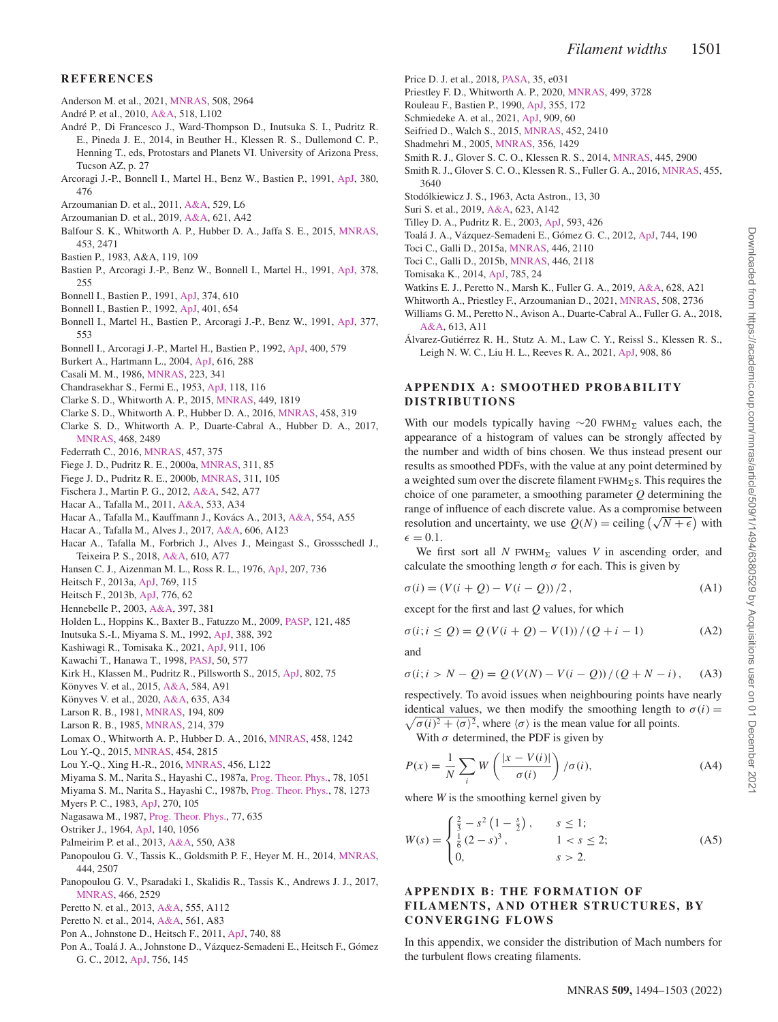- <span id="page-7-9"></span>Anderson M. et al., 2021, [MNRAS,](http://dx.doi.org/ 10.1093/mnras/stab2674) 508, 2964
- <span id="page-7-0"></span>André P. et al., 2010, [A&A,](http://dx.doi.org/ 10.1051/0004-6361/201014666) 518, L102
- <span id="page-7-1"></span>Andre P., Di Francesco J., Ward-Thompson D., Inutsuka S. I., Pudritz R. ´ E., Pineda J. E., 2014, in Beuther H., Klessen R. S., Dullemond C. P., Henning T., eds, Protostars and Planets VI. University of Arizona Press, Tucson AZ, p. 27
- <span id="page-7-46"></span>Arcoragi J.-P., Bonnell I., Martel H., Benz W., Bastien P., 1991, [ApJ,](http://dx.doi.org/ 10.1086/170605) 380, 476
- <span id="page-7-10"></span>Arzoumanian D. et al., 2011, [A&A,](http://dx.doi.org/ 10.1051/0004-6361/201116596) 529, L6
- <span id="page-7-11"></span>Arzoumanian D. et al., 2019, [A&A,](http://dx.doi.org/ 10.1051/0004-6361/201832725) 621, A42
- <span id="page-7-71"></span>Balfour S. K., Whitworth A. P., Hubber D. A., Jaffa S. E., 2015, [MNRAS,](http://dx.doi.org/ 10.1093/mnras/stv1772) 453, 2471
- <span id="page-7-44"></span>Bastien P., 1983, A&A, 119, 109
- <span id="page-7-47"></span>Bastien P., Arcoragi J.-P., Benz W., Bonnell I., Martel H., 1991, [ApJ,](http://dx.doi.org/ 10.1086/170424) 378, 255
- <span id="page-7-48"></span>Bonnell I., Bastien P., 1991, [ApJ,](http://dx.doi.org/ 10.1086/170147) 374, 610
- <span id="page-7-49"></span>Bonnell I., Bastien P., 1992, [ApJ,](http://dx.doi.org/ 10.1086/172093) 401, 654
- <span id="page-7-50"></span>Bonnell I., Martel H., Bastien P., Arcoragi J.-P., Benz W., 1991, [ApJ,](http://dx.doi.org/ 10.1086/170384) 377, 553
- <span id="page-7-51"></span>Bonnell I., Arcoragi J.-P., Martel H., Bastien P., 1992, [ApJ,](http://dx.doi.org/ 10.1086/172020) 400, 579
- <span id="page-7-52"></span>Burkert A., Hartmann L., 2004, [ApJ,](http://dx.doi.org/ 10.1086/424895) 616, 288
- <span id="page-7-67"></span>Casali M. M., 1986, [MNRAS,](http://dx.doi.org/ 10.1093/mnras/223.2.341) 223, 341
- <span id="page-7-30"></span>Chandrasekhar S., Fermi E., 1953, [ApJ,](http://dx.doi.org/ 10.1086/145732) 118, 116
- <span id="page-7-55"></span>Clarke S. D., Whitworth A. P., 2015, [MNRAS,](http://dx.doi.org/ 10.1093/mnras/stv393) 449, 1819
- <span id="page-7-56"></span>Clarke S. D., Whitworth A. P., Hubber D. A., 2016, [MNRAS,](http://dx.doi.org/ 10.1093/mnras/stw407) 458, 319
- <span id="page-7-57"></span>Clarke S. D., Whitworth A. P., Duarte-Cabral A., Hubber D. A., 2017, [MNRAS,](http://dx.doi.org/ 10.1093/mnras/stx637) 468, 2489
- <span id="page-7-59"></span>Federrath C., 2016, [MNRAS,](http://dx.doi.org/ 10.1093/mnras/stv2880) 457, 375
- <span id="page-7-32"></span>Fiege J. D., Pudritz R. E., 2000a, [MNRAS,](http://dx.doi.org/ 10.1046/j.1365-8711.2000.03066.x) 311, 85
- <span id="page-7-33"></span>Fiege J. D., Pudritz R. E., 2000b, [MNRAS,](http://dx.doi.org/ 10.1046/j.1365-8711.2000.03067.x) 311, 105
- <span id="page-7-25"></span>Fischera J., Martin P. G., 2012, [A&A,](http://dx.doi.org/ 10.1051/0004-6361/201218961) 542, A77
- <span id="page-7-63"></span>Hacar A., Tafalla M., 2011, [A&A,](http://dx.doi.org/ 10.1051/0004-6361/201117039) 533, A34
- <span id="page-7-64"></span>Hacar A., Tafalla M., Kauffmann J., Kovács A., 2013, [A&A,](http://dx.doi.org/ 10.1051/0004-6361/201220090) 554, A55
- <span id="page-7-65"></span>Hacar A., Tafalla M., Alves J., 2017, [A&A,](http://dx.doi.org/ 10.1051/0004-6361/201630348) 606, A123
- <span id="page-7-6"></span>Hacar A., Tafalla M., Forbrich J., Alves J., Meingast S., Grossschedl J., Teixeira P. S., 2018, [A&A,](http://dx.doi.org/ 10.1051/0004-6361/201731894) 610, A77
- <span id="page-7-41"></span>Hansen C. J., Aizenman M. L., Ross R. L., 1976, [ApJ,](http://dx.doi.org/ 10.1086/154542) 207, 736
- <span id="page-7-26"></span>Heitsch F., 2013a, [ApJ,](http://dx.doi.org/ 10.1088/0004-637X/769/2/115) 769, 115
- <span id="page-7-27"></span>Heitsch F., 2013b, [ApJ,](http://dx.doi.org/ 10.1088/0004-637X/776/1/62) 776, 62
- <span id="page-7-34"></span>Hennebelle P., 2003, [A&A,](http://dx.doi.org/ 10.1051/0004-6361:20021526) 397, 381
- <span id="page-7-24"></span>Holden L., Hoppins K., Baxter B., Fatuzzo M., 2009, [PASP,](http://dx.doi.org/ 10.1086/599382) 121, 485
- <span id="page-7-22"></span>Inutsuka S.-I., Miyama S. M., 1992, [ApJ,](http://dx.doi.org/ 10.1086/171162) 388, 392
- <span id="page-7-40"></span>Kashiwagi R., Tomisaka K., 2021, [ApJ,](http://dx.doi.org/ 10.3847/1538-4357/abea7a) 911, 106
- <span id="page-7-23"></span>Kawachi T., Hanawa T., 1998, [PASJ,](http://dx.doi.org/ 10.1093/pasj/50.6.577) 50, 577
- <span id="page-7-58"></span>Kirk H., Klassen M., Pudritz R., Pillsworth S., 2015, [ApJ,](http://dx.doi.org/ 10.1088/0004-637X/802/2/75) 802, 75
- <span id="page-7-2"></span>Könyves V. et al., 2015, [A&A,](http://dx.doi.org/ 10.1051/0004-6361/201525861) 584, A91
- <span id="page-7-3"></span>Könyves V. et al., 2020, [A&A,](http://dx.doi.org/ 10.1051/0004-6361/201834753) 635, A34
- <span id="page-7-62"></span>Larson R. B., 1981, [MNRAS,](http://dx.doi.org/ 10.1093/mnras/194.4.809 ) 194, 809
- <span id="page-7-21"></span>Larson R. B., 1985, [MNRAS,](http://dx.doi.org/ 10.1093/mnras/214.3.379) 214, 379
- <span id="page-7-73"></span>Lomax O., Whitworth A. P., Hubber D. A., 2016, [MNRAS,](http://dx.doi.org/ 10.1093/mnras/stw406) 458, 1242
- <span id="page-7-28"></span>Lou Y.-Q., 2015, [MNRAS,](http://dx.doi.org/ 10.1093/mnras/stv1912) 454, 2815
- <span id="page-7-39"></span>Lou Y.-Q., Xing H.-R., 2016, [MNRAS,](http://dx.doi.org/ 10.1093/mnrasl/slv183) 456, L122
- <span id="page-7-69"></span>Miyama S. M., Narita S., Hayashi C., 1987a, [Prog. Theor. Phys.,](http://dx.doi.org/ 10.1143/PTP.78.1051) 78, 1051
- <span id="page-7-70"></span>Miyama S. M., Narita S., Hayashi C., 1987b, [Prog. Theor. Phys.,](http://dx.doi.org/ 10.1143/PTP.78.1273) 78, 1273
- <span id="page-7-72"></span>Myers P. C., 1983, [ApJ,](http://dx.doi.org/ 10.1086/161101) 270, 105 Nagasawa M., 1987, [Prog. Theor. Phys.,](http://dx.doi.org/ 10.1143/PTP.77.635) 77, 635
- <span id="page-7-31"></span><span id="page-7-20"></span>Ostriker J., 1964, [ApJ,](http://dx.doi.org/ 10.1086/148005) 140, 1056
- Palmeirim P. et al., 2013, [A&A,](http://dx.doi.org/ 10.1051/0004-6361/201220500) 550, A38
- <span id="page-7-66"></span>
- <span id="page-7-14"></span>Panopoulou G. V., Tassis K., Goldsmith P. F., Heyer M. H., 2014, [MNRAS,](http://dx.doi.org/ 10.1093/mnras/stu1601) 444, 2507
- <span id="page-7-13"></span>Panopoulou G. V., Psaradaki I., Skalidis R., Tassis K., Andrews J. J., 2017, [MNRAS,](http://dx.doi.org/ 10.1093/mnras/stw3060) 466, 2529
- <span id="page-7-4"></span>Peretto N. et al., 2013, [A&A,](http://dx.doi.org/ 10.1051/0004-6361/201321318) 555, A112
- <span id="page-7-5"></span>Peretto N. et al., 2014, [A&A,](http://dx.doi.org/ 10.1051/0004-6361/201322172) 561, A83
- <span id="page-7-53"></span>Pon A., Johnstone D., Heitsch F., 2011, [ApJ,](http://dx.doi.org/ 10.1088/0004-637X/740/2/88) 740, 88
- <span id="page-7-54"></span>Pon A., Toalá J. A., Johnstone D., Vázquez-Semadeni E., Heitsch F., Gómez G. C., 2012, [ApJ,](http://dx.doi.org/ 10.1088/0004-637X/756/2/145) 756, 145
- <span id="page-7-61"></span>Price D. J. et al., 2018, [PASA,](http://dx.doi.org/ 10.1017/pasa.2018.25) 35, e031
- <span id="page-7-18"></span>Priestley F. D., Whitworth A. P., 2020, [MNRAS,](http://dx.doi.org/ 10.1093/mnras/staa3111) 499, 3728
- <span id="page-7-45"></span>Rouleau F., Bastien P., 1990, [ApJ,](http://dx.doi.org/ 10.1086/168751) 355, 172
- <span id="page-7-17"></span>Schmiedeke A. et al., 2021, [ApJ,](http://dx.doi.org/ 10.3847/1538-4357/abd6ef ) 909, 60
- <span id="page-7-43"></span>Seifried D., Walch S., 2015, [MNRAS,](http://dx.doi.org/ 10.1093/mnras/stv1458 ) 452, 2410
- <span id="page-7-36"></span>Shadmehri M., 2005, [MNRAS,](http://dx.doi.org/ 10.1111/j.1365-2966.2004.08575.x) 356, 1429
- <span id="page-7-12"></span>Smith R. J., Glover S. C. O., Klessen R. S., 2014, [MNRAS,](http://dx.doi.org/ 10.1093/mnras/stu1915) 445, 2900
- <span id="page-7-60"></span>Smith R. J., Glover S. C. O., Klessen R. S., Fuller G. A., 2016, [MNRAS,](http://dx.doi.org/ 10.1093/mnras/stv2559) 455, 3640
- <span id="page-7-19"></span>Stodólkiewicz J. S., 1963, Acta Astron., 13, 30
- <span id="page-7-15"></span>Suri S. et al., 2019, [A&A,](http://dx.doi.org/ 10.1051/0004-6361/201834049 ) 623, A142
- <span id="page-7-35"></span>Tilley D. A., Pudritz R. E., 2003, [ApJ,](http://dx.doi.org/ 10.1086/376357) 593, 426
- <span id="page-7-42"></span>Toalá J. A., Vázquez-Semadeni E., Gómez G. C., 2012, [ApJ,](http://dx.doi.org/ 10.1088/0004-637X/744/2/190) 744, 190
- <span id="page-7-29"></span>Toci C., Galli D., 2015a, [MNRAS,](http://dx.doi.org/ 10.1093/mnras/stu2168) 446, 2110
- <span id="page-7-38"></span>Toci C., Galli D., 2015b, [MNRAS,](http://dx.doi.org/ 10.1093/mnras/stu2194) 446, 2118
- <span id="page-7-37"></span>Tomisaka K., 2014, [ApJ,](http://dx.doi.org/ 10.1088/0004-637X/785/1/24) 785, 24
- <span id="page-7-8"></span>Watkins E. J., Peretto N., Marsh K., Fuller G. A., 2019, [A&A,](http://dx.doi.org/ 10.1051/0004-6361/201935277) 628, A21
- <span id="page-7-68"></span>Whitworth A., Priestley F., Arzoumanian D., 2021, [MNRAS,](http://dx.doi.org/ 10.1093/mnras/stab2782) 508, 2736
- <span id="page-7-7"></span>Williams G. M., Peretto N., Avison A., Duarte-Cabral A., Fuller G. A., 2018, [A&A,](http://dx.doi.org/ 10.1051/0004-6361/201731587) 613, A11
- <span id="page-7-16"></span>Álvarez-Gutiérrez R. H., Stutz A. M., Law C. Y., Reissl S., Klessen R. S., Leigh N. W. C., Liu H. L., Reeves R. A., 2021, [ApJ,](http://dx.doi.org/ 10.3847/1538-4357/abd47c) 908, 86

## **APPENDIX A: SMOOTHED PROBABILITY DISTRIBUTIONS**

With our models typically having ∼20 FWHM<sub>Σ</sub> values each, the appearance of a histogram of values can be strongly affected by the number and width of bins chosen. We thus instead present our results as smoothed PDFs, with the value at any point determined by a weighted sum over the discrete filament FWHM*-*s. This requires the choice of one parameter, a smoothing parameter *Q* determining the range of influence of each discrete value. As a compromise between range or influence or each discrete value. As a compromise between<br>resolution and uncertainty, we use  $Q(N) =$  ceiling  $(\sqrt{N} + \epsilon)$  with  $\epsilon = 0.1$ .

We first sort all  $N$  FWHM<sub> $\Sigma$ </sub> values  $V$  in ascending order, and calculate the smoothing length  $\sigma$  for each. This is given by

$$
\sigma(i) = (V(i + Q) - V(i - Q))/2, \tag{A1}
$$

except for the first and last *Q* values, for which

$$
\sigma(i; i \le Q) = Q(V(i + Q) - V(1))/(Q + i - 1)
$$
 (A2)

and

$$
\sigma(i; i > N - Q) = Q(V(N) - V(i - Q))/(Q + N - i), \quad (A3)
$$

respectively. To avoid issues when neighbouring points have nearly identical values, we then modify the smoothing length to  $\sigma(i) = \sqrt{\sigma(i)^2 + \langle \sigma \rangle^2}$ , where  $\langle \sigma \rangle$  is the mean value for all points.  $\sqrt{\sigma(i)^2 + \langle \sigma \rangle^2}$ , where  $\langle \sigma \rangle$  is the mean value for all points.

With  $\sigma$  determined, the PDF is given by

$$
P(x) = \frac{1}{N} \sum_{i} W\left(\frac{|x - V(i)|}{\sigma(i)}\right) / \sigma(i),\tag{A4}
$$

where *W* is the smoothing kernel given by

$$
W(s) = \begin{cases} \frac{2}{3} - s^2 \left(1 - \frac{s}{2}\right), & s \le 1; \\ \frac{1}{6} \left(2 - s\right)^3, & 1 < s \le 2; \\ 0, & s > 2. \end{cases}
$$
 (A5)

## **APPENDIX B: THE FORMATION OF FILAMENTS, AND OTHER STRUCTURES, BY CONVERGING FLOWS**

In this appendix, we consider the distribution of Mach numbers for the turbulent flows creating filaments.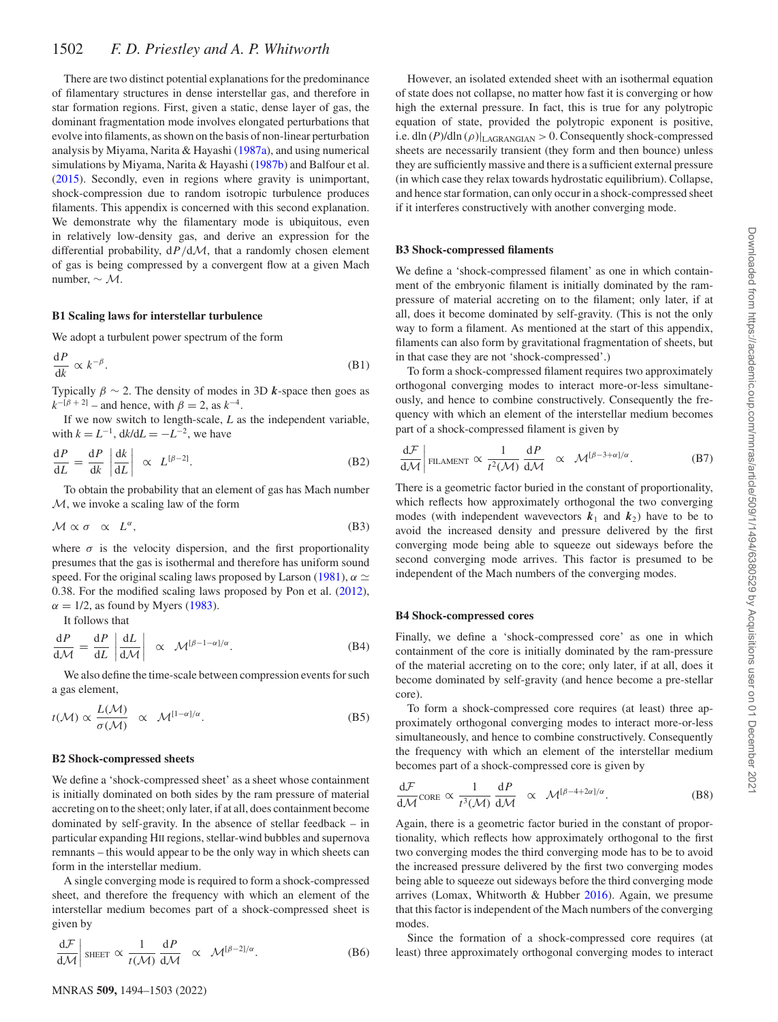There are two distinct potential explanations for the predominance of filamentary structures in dense interstellar gas, and therefore in star formation regions. First, given a static, dense layer of gas, the dominant fragmentation mode involves elongated perturbations that evolve into filaments, as shown on the basis of non-linear perturbation analysis by Miyama, Narita & Hayashi [\(1987a\)](#page-7-69), and using numerical simulations by Miyama, Narita & Hayashi [\(1987b\)](#page-7-70) and Balfour et al. [\(2015\)](#page-7-71). Secondly, even in regions where gravity is unimportant, shock-compression due to random isotropic turbulence produces filaments. This appendix is concerned with this second explanation. We demonstrate why the filamentary mode is ubiquitous, even in relatively low-density gas, and derive an expression for the differential probability, d*P/*dM, that a randomly chosen element of gas is being compressed by a convergent flow at a given Mach number, ∼ M.

## **B1 Scaling laws for interstellar turbulence**

We adopt a turbulent power spectrum of the form

$$
\frac{\mathrm{d}P}{\mathrm{d}k} \propto k^{-\beta}.\tag{B1}
$$

Typically  $\beta \sim 2$ . The density of modes in 3D *k*-space then goes as  $k^{-\left[\beta + 2\right]}$  – and hence, with  $\beta = 2$ , as  $k^{-4}$ .

If we now switch to length-scale, *L* as the independent variable, with  $k = L^{-1}$ ,  $dk/dL = -L^{-2}$ , we have

$$
\frac{\mathrm{d}P}{\mathrm{d}L} = \frac{\mathrm{d}P}{\mathrm{d}k} \left| \frac{\mathrm{d}k}{\mathrm{d}L} \right| \propto L^{[\beta - 2]}.
$$
\n(B2)

To obtain the probability that an element of gas has Mach number  $M$ , we invoke a scaling law of the form

$$
\mathcal{M} \propto \sigma \propto L^{\alpha}, \tag{B3}
$$

where  $\sigma$  is the velocity dispersion, and the first proportionality presumes that the gas is isothermal and therefore has uniform sound speed. For the original scaling laws proposed by Larson [\(1981\)](#page-7-62),  $\alpha \simeq$ 0.38. For the modified scaling laws proposed by Pon et al. [\(2012\)](#page-7-54),  $\alpha = 1/2$ , as found by Myers [\(1983\)](#page-7-72).

It follows that

$$
\frac{\mathrm{d}P}{\mathrm{d}\mathcal{M}} = \frac{\mathrm{d}P}{\mathrm{d}L} \left| \frac{\mathrm{d}L}{\mathrm{d}\mathcal{M}} \right| \propto \mathcal{M}^{[\beta - 1 - \alpha]/\alpha}.
$$
 (B4)

We also define the time-scale between compression events for such a gas element,

$$
t(M) \propto \frac{L(M)}{\sigma(M)} \propto \mathcal{M}^{[1-\alpha]/\alpha}.
$$
 (B5)

#### **B2 Shock-compressed sheets**

We define a 'shock-compressed sheet' as a sheet whose containment is initially dominated on both sides by the ram pressure of material accreting on to the sheet; only later, if at all, does containment become dominated by self-gravity. In the absence of stellar feedback – in particular expanding HII regions, stellar-wind bubbles and supernova remnants – this would appear to be the only way in which sheets can form in the interstellar medium.

A single converging mode is required to form a shock-compressed sheet, and therefore the frequency with which an element of the interstellar medium becomes part of a shock-compressed sheet is given by

$$
\left. \frac{\mathrm{d}\mathcal{F}}{\mathrm{d}\mathcal{M}} \right| \text{ sheer } \propto \frac{1}{t(\mathcal{M})} \frac{\mathrm{d}P}{\mathrm{d}\mathcal{M}} \quad \propto \quad \mathcal{M}^{[\beta-2]/\alpha}.
$$
 (B6)

However, an isolated extended sheet with an isothermal equation of state does not collapse, no matter how fast it is converging or how high the external pressure. In fact, this is true for any polytropic equation of state, provided the polytropic exponent is positive, i.e. dln (*P*)/dln (*ρ*)|LAGRANGIAN *>* 0. Consequently shock-compressed sheets are necessarily transient (they form and then bounce) unless they are sufficiently massive and there is a sufficient external pressure (in which case they relax towards hydrostatic equilibrium). Collapse, and hence star formation, can only occur in a shock-compressed sheet if it interferes constructively with another converging mode.

#### **B3 Shock-compressed filaments**

We define a 'shock-compressed filament' as one in which containment of the embryonic filament is initially dominated by the rampressure of material accreting on to the filament; only later, if at all, does it become dominated by self-gravity. (This is not the only way to form a filament. As mentioned at the start of this appendix, filaments can also form by gravitational fragmentation of sheets, but in that case they are not 'shock-compressed'.)

To form a shock-compressed filament requires two approximately orthogonal converging modes to interact more-or-less simultaneously, and hence to combine constructively. Consequently the frequency with which an element of the interstellar medium becomes part of a shock-compressed filament is given by

$$
\frac{\mathrm{d}\mathcal{F}}{\mathrm{d}\mathcal{M}}\bigg|\underset{\text{FLAMENT}}{\text{ELAMENT}} \propto \frac{1}{t^2(\mathcal{M})} \frac{\mathrm{d}P}{\mathrm{d}\mathcal{M}} \propto \mathcal{M}^{[\beta-3+\alpha]/\alpha}.\tag{B7}
$$

There is a geometric factor buried in the constant of proportionality, which reflects how approximately orthogonal the two converging modes (with independent wavevectors  $k_1$  and  $k_2$ ) have to be to avoid the increased density and pressure delivered by the first converging mode being able to squeeze out sideways before the second converging mode arrives. This factor is presumed to be independent of the Mach numbers of the converging modes.

#### **B4 Shock-compressed cores**

Finally, we define a 'shock-compressed core' as one in which containment of the core is initially dominated by the ram-pressure of the material accreting on to the core; only later, if at all, does it become dominated by self-gravity (and hence become a pre-stellar core).

To form a shock-compressed core requires (at least) three approximately orthogonal converging modes to interact more-or-less simultaneously, and hence to combine constructively. Consequently the frequency with which an element of the interstellar medium becomes part of a shock-compressed core is given by

$$
\frac{\mathrm{d}\mathcal{F}}{\mathrm{d}\mathcal{M}}\mathrm{CORE} \propto \frac{1}{t^3(\mathcal{M})}\frac{\mathrm{d}P}{\mathrm{d}\mathcal{M}} \quad \propto \quad \mathcal{M}^{[\beta-4+2\alpha]/\alpha}.\tag{B8}
$$

Again, there is a geometric factor buried in the constant of proportionality, which reflects how approximately orthogonal to the first two converging modes the third converging mode has to be to avoid the increased pressure delivered by the first two converging modes being able to squeeze out sideways before the third converging mode arrives (Lomax, Whitworth & Hubber [2016\)](#page-7-73). Again, we presume that this factor is independent of the Mach numbers of the converging modes.

Since the formation of a shock-compressed core requires (at least) three approximately orthogonal converging modes to interact